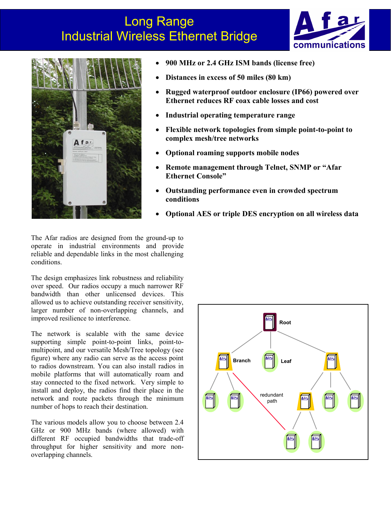## Long Range Industrial Wireless Ethernet Bridge





- **900 MHz or 2.4 GHz ISM bands (license free)**
- **Distances in excess of 50 miles (80 km)**
- **Rugged waterproof outdoor enclosure (IP66) powered over Ethernet reduces RF coax cable losses and cost**
- **Industrial operating temperature range**
- **Flexible network topologies from simple point-to-point to complex mesh/tree networks**
- **Optional roaming supports mobile nodes**
- **Remote management through Telnet, SNMP or "Afar Ethernet Console"**
- **Outstanding performance even in crowded spectrum conditions**
- **Optional AES or triple DES encryption on all wireless data**

The Afar radios are designed from the ground-up to operate in industrial environments and provide reliable and dependable links in the most challenging conditions.

The design emphasizes link robustness and reliability over speed. Our radios occupy a much narrower RF bandwidth than other unlicensed devices. This allowed us to achieve outstanding receiver sensitivity, larger number of non-overlapping channels, and improved resilience to interference.

The network is scalable with the same device supporting simple point-to-point links, point-tomultipoint, and our versatile Mesh/Tree topology (see figure) where any radio can serve as the access point to radios downstream. You can also install radios in mobile platforms that will automatically roam and stay connected to the fixed network. Very simple to install and deploy, the radios find their place in the network and route packets through the minimum number of hops to reach their destination.

The various models allow you to choose between 2.4 GHz or 900 MHz bands (where allowed) with different RF occupied bandwidths that trade-off throughput for higher sensitivity and more nonoverlapping channels.